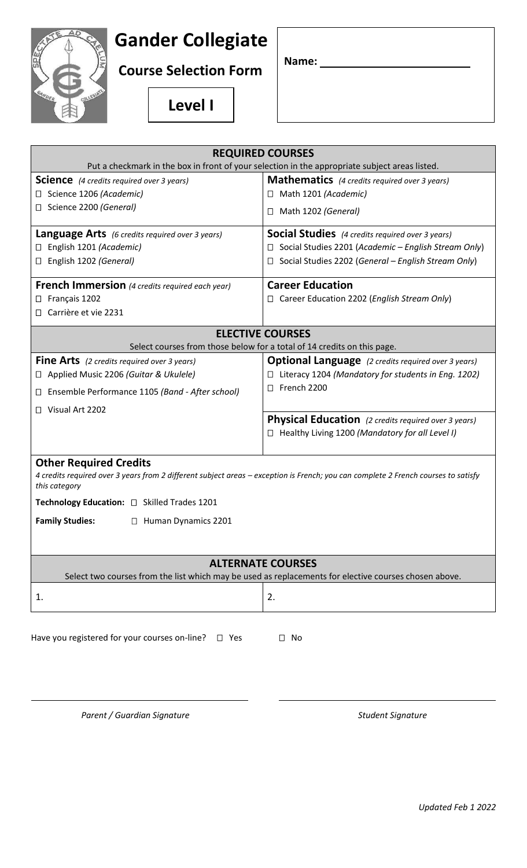## **Gander Collegiate**

**Course Selection Form**

**Name:** 

**Level I**

| <b>REQUIRED COURSES</b>                                                                                                                                                                                                                                                                     |                                                                |
|---------------------------------------------------------------------------------------------------------------------------------------------------------------------------------------------------------------------------------------------------------------------------------------------|----------------------------------------------------------------|
| Put a checkmark in the box in front of your selection in the appropriate subject areas listed.                                                                                                                                                                                              |                                                                |
| <b>Science</b> (4 credits required over 3 years)                                                                                                                                                                                                                                            | <b>Mathematics</b> (4 credits required over 3 years)           |
| Science 1206 (Academic)<br>$\Box$                                                                                                                                                                                                                                                           | □ Math 1201 (Academic)                                         |
| Science 2200 (General)<br>Ш                                                                                                                                                                                                                                                                 | $\Box$ Math 1202 (General)                                     |
| <b>Language Arts</b> (6 credits required over 3 years)                                                                                                                                                                                                                                      | <b>Social Studies</b> (4 credits required over 3 years)        |
| English 1201 (Academic)                                                                                                                                                                                                                                                                     | Social Studies 2201 (Academic - English Stream Only)<br>Ш      |
| English 1202 (General)<br>□                                                                                                                                                                                                                                                                 | Social Studies 2202 (General - English Stream Only)<br>$\perp$ |
| <b>French Immersion</b> (4 credits required each year)                                                                                                                                                                                                                                      | <b>Career Education</b>                                        |
| Français 1202<br>Ц                                                                                                                                                                                                                                                                          | $\Box$ Career Education 2202 ( <i>English Stream Only</i> )    |
| Carrière et vie 2231                                                                                                                                                                                                                                                                        |                                                                |
| <b>ELECTIVE COURSES</b>                                                                                                                                                                                                                                                                     |                                                                |
| Select courses from those below for a total of 14 credits on this page.                                                                                                                                                                                                                     |                                                                |
| <b>Fine Arts</b> (2 credits required over 3 years)                                                                                                                                                                                                                                          | <b>Optional Language</b> (2 credits required over 3 years)     |
| Applied Music 2206 (Guitar & Ukulele)<br>Ц                                                                                                                                                                                                                                                  | Literacy 1204 (Mandatory for students in Eng. 1202)            |
| Ensemble Performance 1105 (Band - After school)<br>⊔                                                                                                                                                                                                                                        | French 2200<br>$\perp$                                         |
| Visual Art 2202                                                                                                                                                                                                                                                                             |                                                                |
|                                                                                                                                                                                                                                                                                             | <b>Physical Education</b> (2 credits required over 3 years)    |
|                                                                                                                                                                                                                                                                                             | $\Box$ Healthy Living 1200 (Mandatory for all Level I)         |
| <b>Other Required Credits</b><br>4 credits required over 3 years from 2 different subject areas - exception is French; you can complete 2 French courses to satisfy<br>this category<br>Technology Education: □ Skilled Trades 1201<br><b>Family Studies:</b><br>$\Box$ Human Dynamics 2201 |                                                                |
| <b>ALTERNATE COURSES</b><br>Select two courses from the list which may be used as replacements for elective courses chosen above.                                                                                                                                                           |                                                                |
| 1.                                                                                                                                                                                                                                                                                          | 2.                                                             |
| Have you registered for your courses on-line? $\Box$ Yes<br>$\Box$ No                                                                                                                                                                                                                       |                                                                |

Parent / Guardian Signature **National Student Signature** Student Signature